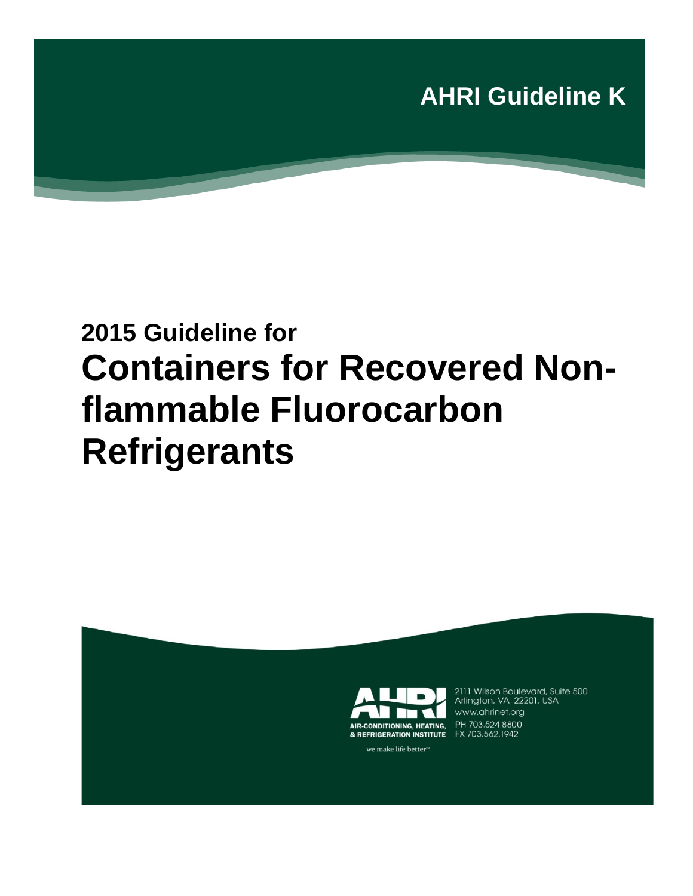

# **2015 Guideline for Containers for Recovered Nonflammable Fluorocarbon Refrigerants**



2111 Wilson Boulevard, Suite 500<br>Arlington, VA 22201, USA www.ahrinet.org FX 703.562.1942

we make life better<sup>™</sup>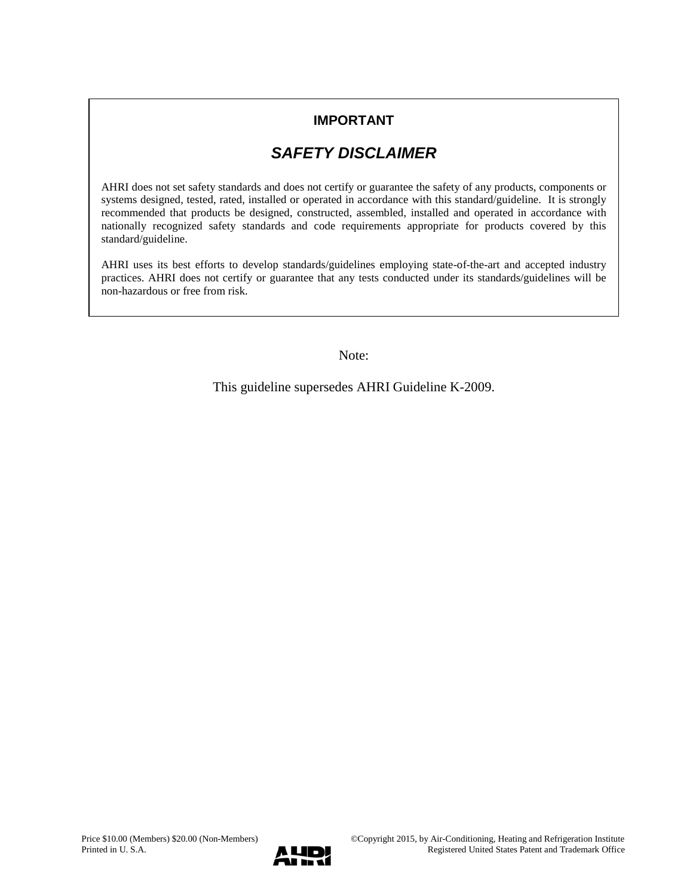### **IMPORTANT**

## *SAFETY DISCLAIMER*

AHRI does not set safety standards and does not certify or guarantee the safety of any products, components or systems designed, tested, rated, installed or operated in accordance with this standard/guideline. It is strongly recommended that products be designed, constructed, assembled, installed and operated in accordance with nationally recognized safety standards and code requirements appropriate for products covered by this standard/guideline.

AHRI uses its best efforts to develop standards/guidelines employing state-of-the-art and accepted industry practices. AHRI does not certify or guarantee that any tests conducted under its standards/guidelines will be non-hazardous or free from risk.

Note:

This guideline supersedes AHRI Guideline K-2009.

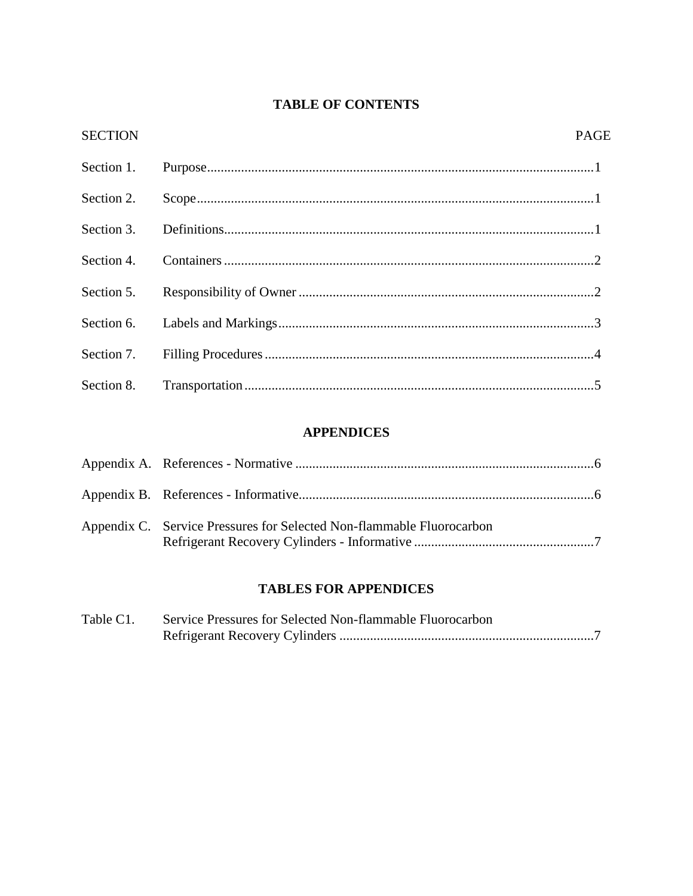### **TABLE OF CONTENTS**

| <b>SECTION</b> | <b>PAGE</b> |
|----------------|-------------|
| Section 1.     |             |
| Section 2.     |             |
| Section 3.     |             |
| Section 4.     |             |
| Section 5.     |             |
| Section 6.     |             |
| Section 7.     |             |
| Section 8.     |             |

### **APPENDICES**

| Appendix C. Service Pressures for Selected Non-flammable Fluorocarbon |  |
|-----------------------------------------------------------------------|--|

### **TABLES FOR APPENDICES**

| Table C1. | Service Pressures for Selected Non-flammable Fluorocarbon |  |
|-----------|-----------------------------------------------------------|--|
|           |                                                           |  |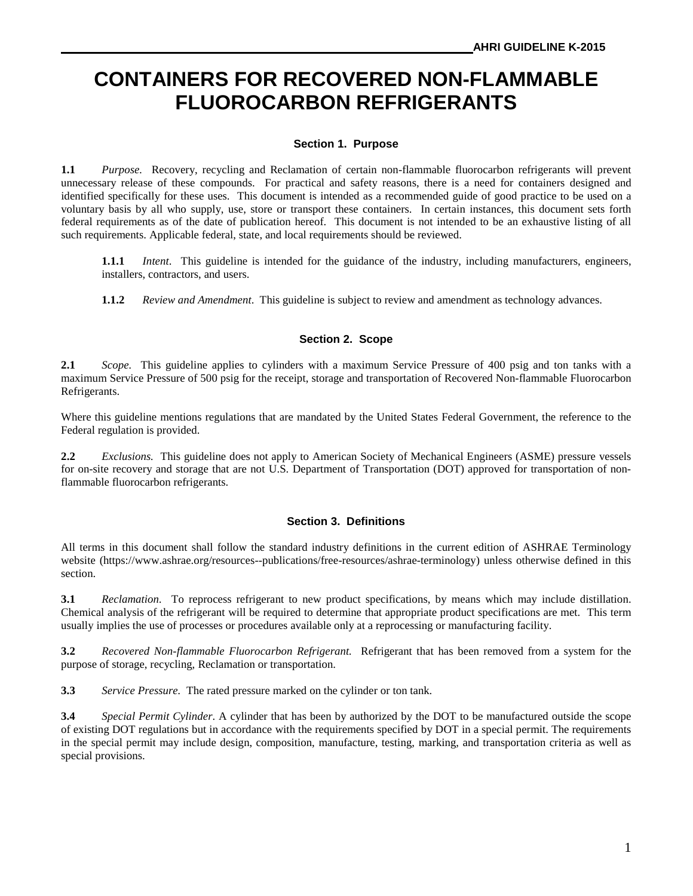# **CONTAINERS FOR RECOVERED NON-FLAMMABLE FLUOROCARBON REFRIGERANTS**

#### **Section 1. Purpose**

**1.1** *Purpose.* Recovery, recycling and Reclamation of certain non-flammable fluorocarbon refrigerants will prevent unnecessary release of these compounds. For practical and safety reasons, there is a need for containers designed and identified specifically for these uses. This document is intended as a recommended guide of good practice to be used on a voluntary basis by all who supply, use, store or transport these containers. In certain instances, this document sets forth federal requirements as of the date of publication hereof. This document is not intended to be an exhaustive listing of all such requirements. Applicable federal, state, and local requirements should be reviewed.

**1.1.1** *Intent*. This guideline is intended for the guidance of the industry, including manufacturers, engineers, installers, contractors, and users.

**1.1.2** *Review and Amendment*. This guideline is subject to review and amendment as technology advances.

#### **Section 2. Scope**

**2.1** *Scope.* This guideline applies to cylinders with a maximum Service Pressure of 400 psig and ton tanks with a maximum Service Pressure of 500 psig for the receipt, storage and transportation of Recovered Non-flammable Fluorocarbon Refrigerants.

Where this guideline mentions regulations that are mandated by the United States Federal Government, the reference to the Federal regulation is provided.

**2.2** *Exclusions.* This guideline does not apply to American Society of Mechanical Engineers (ASME) pressure vessels for on-site recovery and storage that are not U.S. Department of Transportation (DOT) approved for transportation of nonflammable fluorocarbon refrigerants.

#### **Section 3. Definitions**

All terms in this document shall follow the standard industry definitions in the current edition of ASHRAE Terminology website (https://www.ashrae.org/resources--publications/free-resources/ashrae-terminology) unless otherwise defined in this section.

**3.1** *Reclamation.* To reprocess refrigerant to new product specifications, by means which may include distillation. Chemical analysis of the refrigerant will be required to determine that appropriate product specifications are met. This term usually implies the use of processes or procedures available only at a reprocessing or manufacturing facility.

**3.2** *Recovered Non-flammable Fluorocarbon Refrigerant.* Refrigerant that has been removed from a system for the purpose of storage, recycling, Reclamation or transportation.

**3.3** *Service Pressure.* The rated pressure marked on the cylinder or ton tank.

**3.4** *Special Permit Cylinder*. A cylinder that has been by authorized by the DOT to be manufactured outside the scope of existing DOT regulations but in accordance with the requirements specified by DOT in a special permit. The requirements in the special permit may include design, composition, manufacture, testing, marking, and transportation criteria as well as special provisions.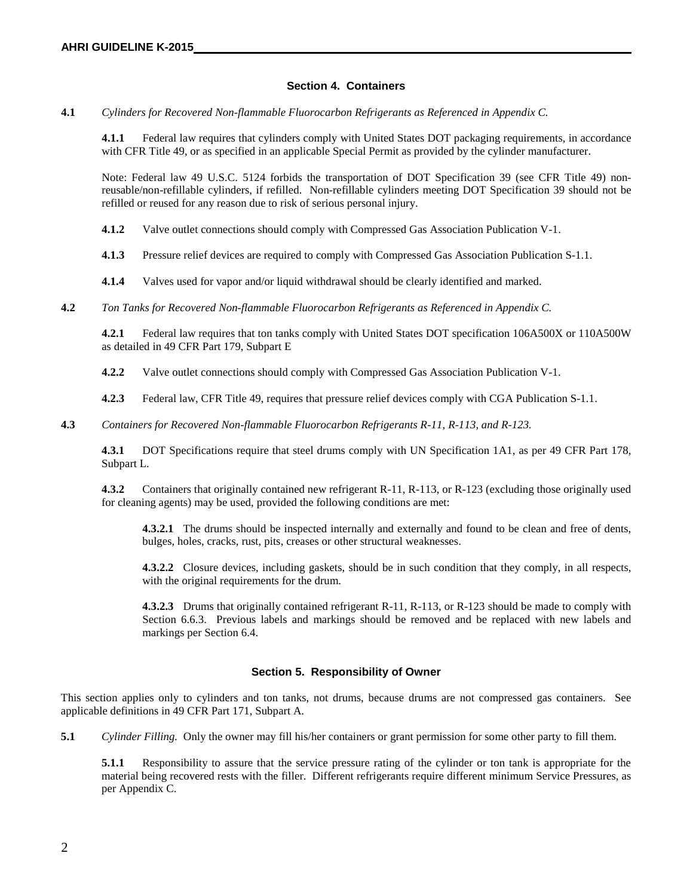#### **Section 4. Containers**

**4.1** *Cylinders for Recovered Non-flammable Fluorocarbon Refrigerants as Referenced in Appendix C.*

**4.1.1** Federal law requires that cylinders comply with United States DOT packaging requirements, in accordance with CFR Title 49, or as specified in an applicable Special Permit as provided by the cylinder manufacturer.

Note: Federal law 49 U.S.C. 5124 forbids the transportation of DOT Specification 39 (see CFR Title 49) nonreusable/non-refillable cylinders, if refilled. Non-refillable cylinders meeting DOT Specification 39 should not be refilled or reused for any reason due to risk of serious personal injury.

**4.1.2** Valve outlet connections should comply with Compressed Gas Association Publication V-1.

**4.1.3** Pressure relief devices are required to comply with Compressed Gas Association Publication S-1.1.

**4.1.4** Valves used for vapor and/or liquid withdrawal should be clearly identified and marked.

**4.2** *Ton Tanks for Recovered Non-flammable Fluorocarbon Refrigerants as Referenced in Appendix C.*

**4.2.1** Federal law requires that ton tanks comply with United States DOT specification 106A500X or 110A500W as detailed in 49 CFR Part 179, Subpart E

**4.2.2** Valve outlet connections should comply with Compressed Gas Association Publication V-1.

**4.2.3** Federal law, CFR Title 49, requires that pressure relief devices comply with CGA Publication S-1.1.

**4.3** *Containers for Recovered Non-flammable Fluorocarbon Refrigerants R-11, R-113, and R-123.*

**4.3.1** DOT Specifications require that steel drums comply with UN Specification 1A1, as per 49 CFR Part 178, Subpart L.

**4.3.2** Containers that originally contained new refrigerant R-11, R-113, or R-123 (excluding those originally used for cleaning agents) may be used, provided the following conditions are met:

**4.3.2.1** The drums should be inspected internally and externally and found to be clean and free of dents, bulges, holes, cracks, rust, pits, creases or other structural weaknesses.

**4.3.2.2** Closure devices, including gaskets, should be in such condition that they comply, in all respects, with the original requirements for the drum.

**4.3.2.3** Drums that originally contained refrigerant R-11, R-113, or R-123 should be made to comply with Section 6.6.3. Previous labels and markings should be removed and be replaced with new labels and markings per Section 6.4.

#### **Section 5. Responsibility of Owner**

This section applies only to cylinders and ton tanks, not drums, because drums are not compressed gas containers. See applicable definitions in 49 CFR Part 171, Subpart A.

**5.1** *Cylinder Filling.* Only the owner may fill his/her containers or grant permission for some other party to fill them.

**5.1.1** Responsibility to assure that the service pressure rating of the cylinder or ton tank is appropriate for the material being recovered rests with the filler. Different refrigerants require different minimum Service Pressures, as per Appendix C.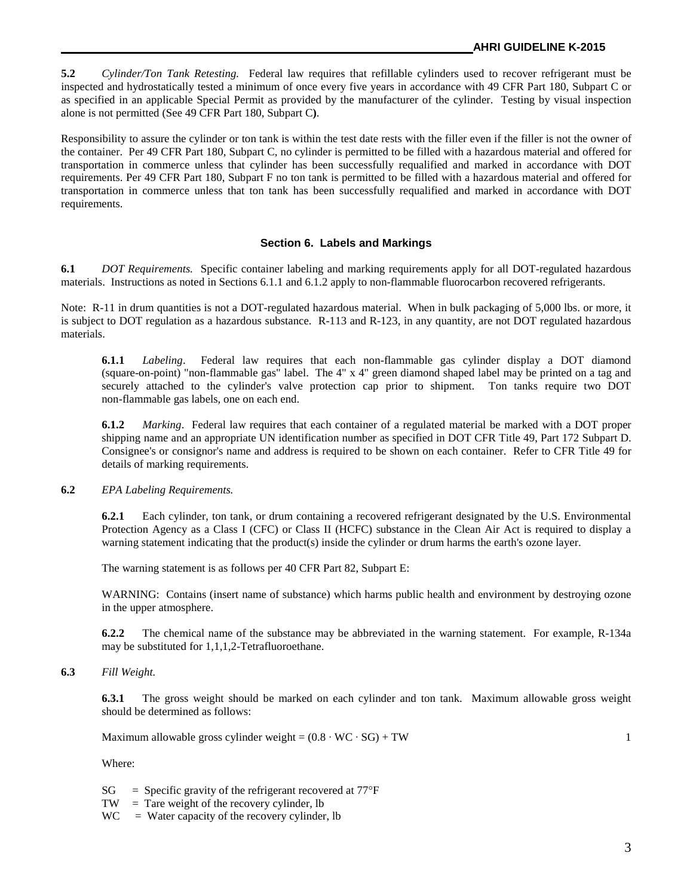**5.2** *Cylinder/Ton Tank Retesting.* Federal law requires that refillable cylinders used to recover refrigerant must be inspected and hydrostatically tested a minimum of once every five years in accordance with 49 CFR Part 180, Subpart C or as specified in an applicable Special Permit as provided by the manufacturer of the cylinder. Testing by visual inspection alone is not permitted (See 49 CFR Part 180, Subpart C**)**.

Responsibility to assure the cylinder or ton tank is within the test date rests with the filler even if the filler is not the owner of the container. Per 49 CFR Part 180, Subpart C, no cylinder is permitted to be filled with a hazardous material and offered for transportation in commerce unless that cylinder has been successfully requalified and marked in accordance with DOT requirements. Per 49 CFR Part 180, Subpart F no ton tank is permitted to be filled with a hazardous material and offered for transportation in commerce unless that ton tank has been successfully requalified and marked in accordance with DOT requirements.

#### **Section 6. Labels and Markings**

**6.1** *DOT Requirements.* Specific container labeling and marking requirements apply for all DOT-regulated hazardous materials. Instructions as noted in Sections 6.1.1 and 6.1.2 apply to non-flammable fluorocarbon recovered refrigerants.

Note: R-11 in drum quantities is not a DOT-regulated hazardous material. When in bulk packaging of 5,000 lbs. or more, it is subject to DOT regulation as a hazardous substance. R-113 and R-123, in any quantity, are not DOT regulated hazardous materials.

**6.1.1** *Labeling*. Federal law requires that each non-flammable gas cylinder display a DOT diamond (square-on-point) "non-flammable gas" label. The 4" x 4" green diamond shaped label may be printed on a tag and securely attached to the cylinder's valve protection cap prior to shipment. Ton tanks require two DOT non-flammable gas labels, one on each end.

**6.1.2** *Marking*. Federal law requires that each container of a regulated material be marked with a DOT proper shipping name and an appropriate UN identification number as specified in DOT CFR Title 49, Part 172 Subpart D. Consignee's or consignor's name and address is required to be shown on each container. Refer to CFR Title 49 for details of marking requirements.

#### **6.2** *EPA Labeling Requirements.*

**6.2.1** Each cylinder, ton tank, or drum containing a recovered refrigerant designated by the U.S. Environmental Protection Agency as a Class I (CFC) or Class II (HCFC) substance in the Clean Air Act is required to display a warning statement indicating that the product(s) inside the cylinder or drum harms the earth's ozone layer.

The warning statement is as follows per 40 CFR Part 82, Subpart E:

WARNING: Contains (insert name of substance) which harms public health and environment by destroying ozone in the upper atmosphere.

**6.2.2** The chemical name of the substance may be abbreviated in the warning statement. For example, R-134a may be substituted for 1,1,1,2-Tetrafluoroethane.

#### **6.3** *Fill Weight.*

**6.3.1** The gross weight should be marked on each cylinder and ton tank. Maximum allowable gross weight should be determined as follows:

Maximum allowable gross cylinder weight =  $(0.8 \cdot WC \cdot SG) + TW$  1

Where:

- $SG = Specific gravity of the refrigerator recovered at 77°F$
- $TW = T$ are weight of the recovery cylinder, lb
- $WC = Water capacity of the recovery cylinder, lb$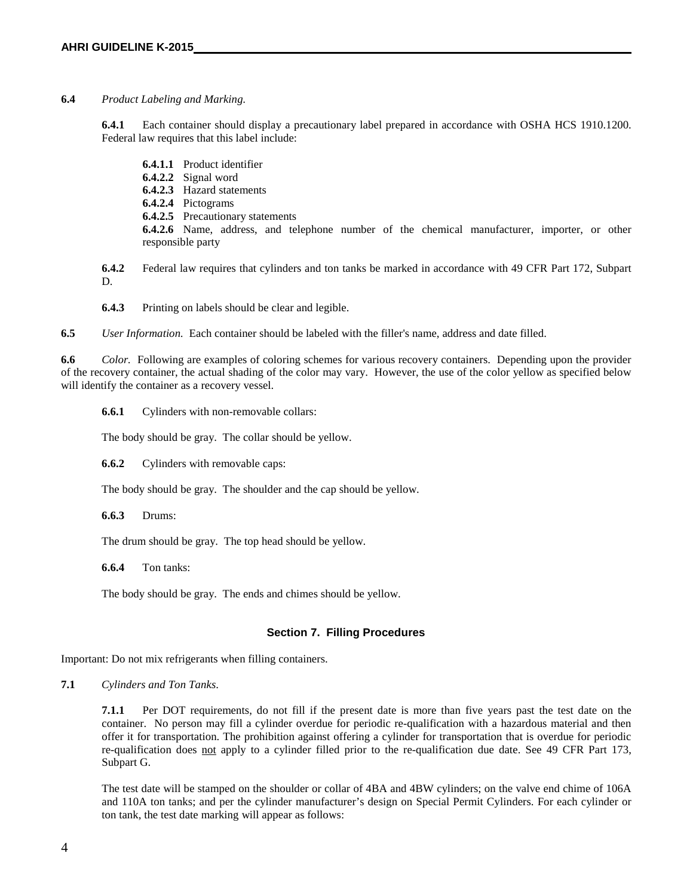#### **6.4** *Product Labeling and Marking.*

**6.4.1** Each container should display a precautionary label prepared in accordance with OSHA HCS 1910.1200. Federal law requires that this label include:

**6.4.1.1** Product identifier **6.4.2.2** Signal word **6.4.2.3** Hazard statements **6.4.2.4** Pictograms **6.4.2.5** Precautionary statements **6.4.2.6** Name, address, and telephone number of the chemical manufacturer, importer, or other responsible party

**6.4.2** Federal law requires that cylinders and ton tanks be marked in accordance with 49 CFR Part 172, Subpart D.

**6.4.3** Printing on labels should be clear and legible.

**6.5** *User Information.* Each container should be labeled with the filler's name, address and date filled.

**6.6** *Color.* Following are examples of coloring schemes for various recovery containers. Depending upon the provider of the recovery container, the actual shading of the color may vary. However, the use of the color yellow as specified below will identify the container as a recovery vessel.

**6.6.1** Cylinders with non-removable collars:

The body should be gray. The collar should be yellow.

**6.6.2** Cylinders with removable caps:

The body should be gray. The shoulder and the cap should be yellow.

**6.6.3** Drums:

The drum should be gray. The top head should be yellow.

**6.6.4** Ton tanks:

The body should be gray. The ends and chimes should be yellow.

#### **Section 7. Filling Procedures**

Important: Do not mix refrigerants when filling containers.

**7.1** *Cylinders and Ton Tanks*.

**7.1.1** Per DOT requirements, do not fill if the present date is more than five years past the test date on the container. No person may fill a cylinder overdue for periodic re-qualification with a hazardous material and then offer it for transportation. The prohibition against offering a cylinder for transportation that is overdue for periodic re-qualification does not apply to a cylinder filled prior to the re-qualification due date. See 49 CFR Part 173, Subpart G.

The test date will be stamped on the shoulder or collar of 4BA and 4BW cylinders; on the valve end chime of 106A and 110A ton tanks; and per the cylinder manufacturer's design on Special Permit Cylinders. For each cylinder or ton tank, the test date marking will appear as follows: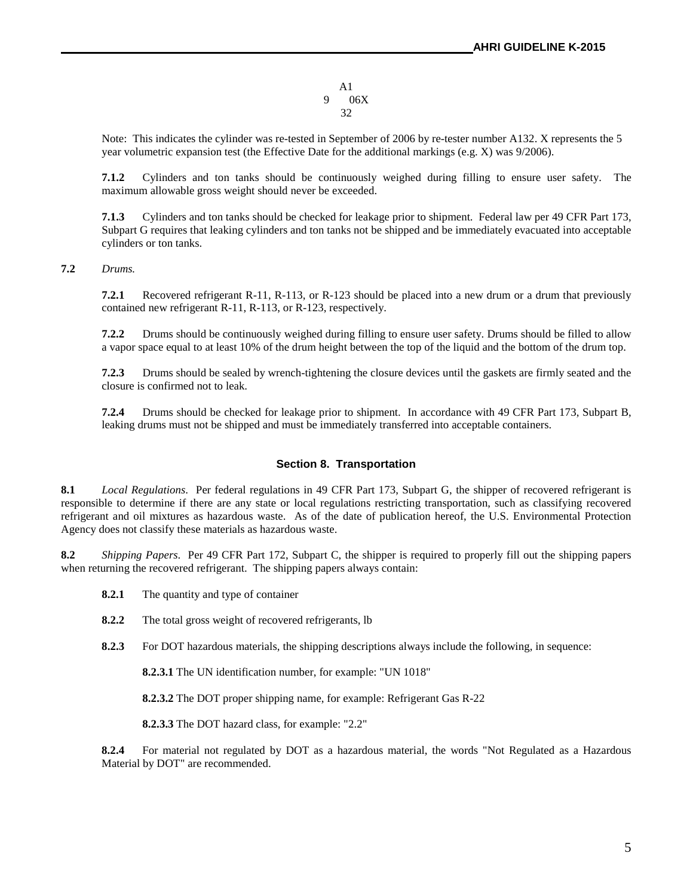A1 9 06X 32

Note: This indicates the cylinder was re-tested in September of 2006 by re-tester number A132. X represents the 5 year volumetric expansion test (the Effective Date for the additional markings (e.g. X) was 9/2006).

**7.1.2** Cylinders and ton tanks should be continuously weighed during filling to ensure user safety. The maximum allowable gross weight should never be exceeded.

**7.1.3** Cylinders and ton tanks should be checked for leakage prior to shipment. Federal law per 49 CFR Part 173, Subpart G requires that leaking cylinders and ton tanks not be shipped and be immediately evacuated into acceptable cylinders or ton tanks.

**7.2** *Drums.*

**7.2.1** Recovered refrigerant R-11, R-113, or R-123 should be placed into a new drum or a drum that previously contained new refrigerant R-11, R-113, or R-123, respectively.

**7.2.2** Drums should be continuously weighed during filling to ensure user safety. Drums should be filled to allow a vapor space equal to at least 10% of the drum height between the top of the liquid and the bottom of the drum top.

**7.2.3** Drums should be sealed by wrench-tightening the closure devices until the gaskets are firmly seated and the closure is confirmed not to leak.

**7.2.4** Drums should be checked for leakage prior to shipment. In accordance with 49 CFR Part 173, Subpart B, leaking drums must not be shipped and must be immediately transferred into acceptable containers.

#### **Section 8. Transportation**

**8.1** *Local Regulations*. Per federal regulations in 49 CFR Part 173, Subpart G, the shipper of recovered refrigerant is responsible to determine if there are any state or local regulations restricting transportation, such as classifying recovered refrigerant and oil mixtures as hazardous waste. As of the date of publication hereof, the U.S. Environmental Protection Agency does not classify these materials as hazardous waste.

**8.2** *Shipping Papers*. Per 49 CFR Part 172, Subpart C, the shipper is required to properly fill out the shipping papers when returning the recovered refrigerant. The shipping papers always contain:

- **8.2.1** The quantity and type of container
- **8.2.2** The total gross weight of recovered refrigerants, lb
- **8.2.3** For DOT hazardous materials, the shipping descriptions always include the following, in sequence:

**8.2.3.1** The UN identification number, for example: "UN 1018"

**8.2.3.2** The DOT proper shipping name, for example: Refrigerant Gas R-22

**8.2.3.3** The DOT hazard class, for example: "2.2"

**8.2.4** For material not regulated by DOT as a hazardous material, the words "Not Regulated as a Hazardous Material by DOT" are recommended.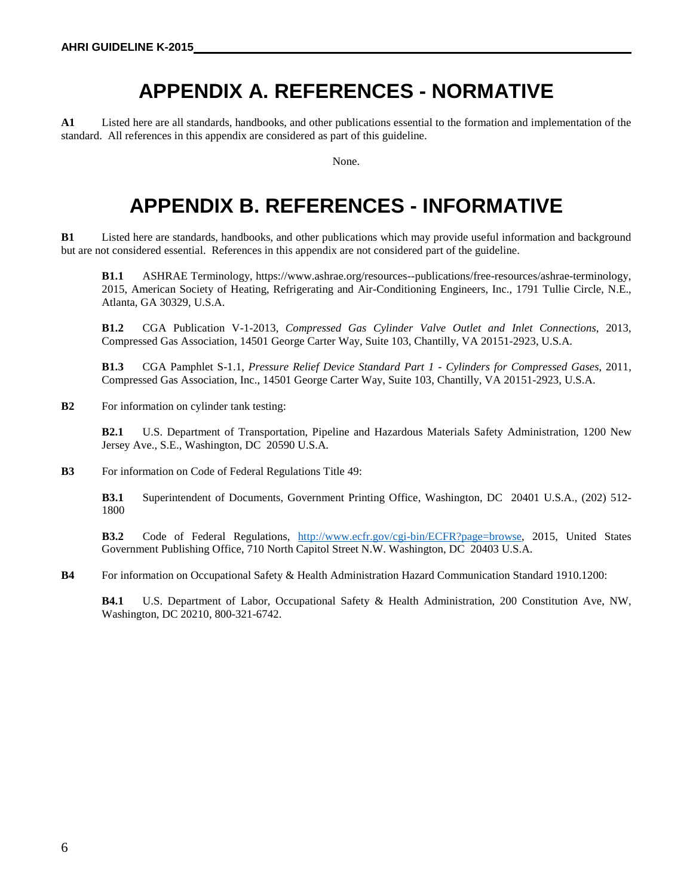# **APPENDIX A. REFERENCES - NORMATIVE**

**A1** Listed here are all standards, handbooks, and other publications essential to the formation and implementation of the standard. All references in this appendix are considered as part of this guideline.

None.

# **APPENDIX B. REFERENCES - INFORMATIVE**

**B1** Listed here are standards, handbooks, and other publications which may provide useful information and background but are not considered essential. References in this appendix are not considered part of the guideline.

**B1.1** ASHRAE Terminology, https://www.ashrae.org/resources--publications/free-resources/ashrae-terminology, 2015, American Society of Heating, Refrigerating and Air-Conditioning Engineers, Inc., 1791 Tullie Circle, N.E., Atlanta, GA 30329, U.S.A.

**B1.2** CGA Publication V-1-2013, *Compressed Gas Cylinder Valve Outlet and Inlet Connections*, 2013, Compressed Gas Association, 14501 George Carter Way, Suite 103, Chantilly, VA 20151-2923, U.S.A.

**B1.3** CGA Pamphlet S-1.1, *Pressure Relief Device Standard Part 1 - Cylinders for Compressed Gases*, 2011, Compressed Gas Association, Inc., 14501 George Carter Way, Suite 103, Chantilly, VA 20151-2923, U.S.A.

**B2** For information on cylinder tank testing:

**B2.1** U.S. Department of Transportation, Pipeline and Hazardous Materials Safety Administration, 1200 New Jersey Ave., S.E., Washington, DC 20590 U.S.A.

**B3** For information on Code of Federal Regulations Title 49:

**B3.1** Superintendent of Documents, Government Printing Office, Washington, DC 20401 U.S.A., (202) 512- 1800

**B3.2** Code of Federal Regulations, [http://www.ecfr.gov/cgi-bin/ECFR?page=browse,](http://www.ecfr.gov/cgi-bin/ECFR?page=browse) 2015, United States Government Publishing Office, 710 North Capitol Street N.W. Washington, DC 20403 U.S.A.

**B4** For information on Occupational Safety & Health Administration Hazard Communication Standard 1910.1200:

**B4.1** U.S. Department of Labor, Occupational Safety & Health Administration, 200 Constitution Ave, NW, Washington, DC 20210, 800-321-6742.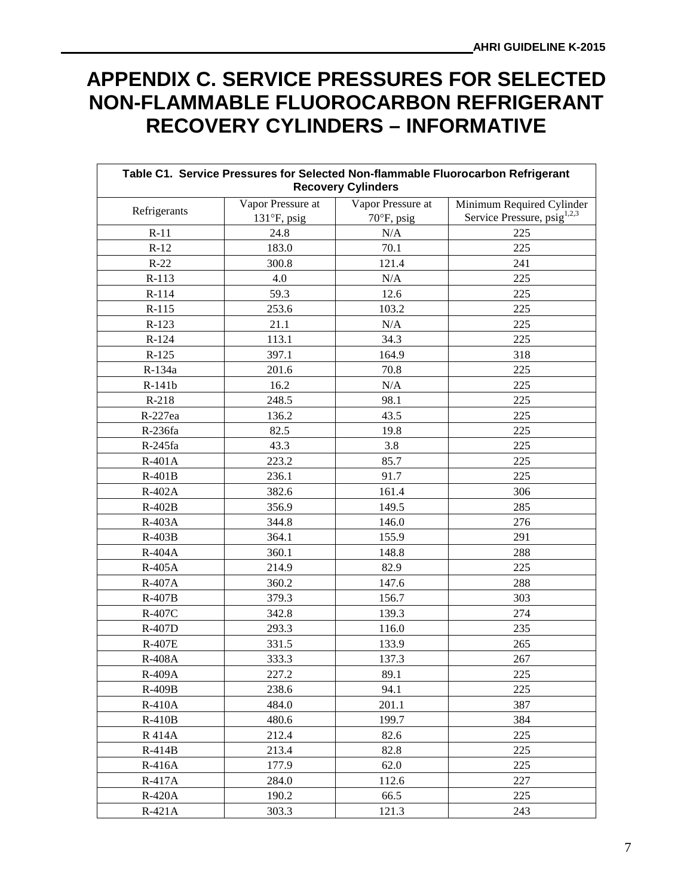# **APPENDIX C. SERVICE PRESSURES FOR SELECTED NON-FLAMMABLE FLUOROCARBON REFRIGERANT RECOVERY CYLINDERS – INFORMATIVE**

| Table C1. Service Pressures for Selected Non-flammable Fluorocarbon Refrigerant<br><b>Recovery Cylinders</b> |                                           |                                           |                                                                      |  |  |
|--------------------------------------------------------------------------------------------------------------|-------------------------------------------|-------------------------------------------|----------------------------------------------------------------------|--|--|
| Refrigerants                                                                                                 | Vapor Pressure at<br>$131^\circ F$ , psig | Vapor Pressure at<br>$70^{\circ}$ F, psig | Minimum Required Cylinder<br>Service Pressure, psig <sup>1,2,3</sup> |  |  |
| $R-11$                                                                                                       | 24.8                                      | N/A                                       | 225                                                                  |  |  |
| $R-12$                                                                                                       | 183.0                                     | 70.1                                      | 225                                                                  |  |  |
| $R-22$                                                                                                       | 300.8                                     | 121.4                                     | 241                                                                  |  |  |
| $R-113$                                                                                                      | 4.0                                       | N/A                                       | 225                                                                  |  |  |
| R-114                                                                                                        | 59.3                                      | 12.6                                      | 225                                                                  |  |  |
| $R-115$                                                                                                      | 253.6                                     | 103.2                                     | 225                                                                  |  |  |
| $R-123$                                                                                                      | 21.1                                      | N/A                                       | 225                                                                  |  |  |
| $R-124$                                                                                                      | 113.1                                     | 34.3                                      | 225                                                                  |  |  |
| $R-125$                                                                                                      | 397.1                                     | 164.9                                     | 318                                                                  |  |  |
| R-134a                                                                                                       | 201.6                                     | 70.8                                      | 225                                                                  |  |  |
| R-141b                                                                                                       | 16.2                                      | N/A                                       | 225                                                                  |  |  |
| $R-218$                                                                                                      | 248.5                                     | 98.1                                      | 225                                                                  |  |  |
| R-227ea                                                                                                      | 136.2                                     | 43.5                                      | 225                                                                  |  |  |
| R-236fa                                                                                                      | 82.5                                      | 19.8                                      | 225                                                                  |  |  |
| R-245fa                                                                                                      | 43.3                                      | 3.8                                       | 225                                                                  |  |  |
| $R-401A$                                                                                                     | 223.2                                     | 85.7                                      | 225                                                                  |  |  |
| $R-401B$                                                                                                     | 236.1                                     | 91.7                                      | 225                                                                  |  |  |
| R-402A                                                                                                       | 382.6                                     | 161.4                                     | 306                                                                  |  |  |
| R-402B                                                                                                       | 356.9                                     | 149.5                                     | 285                                                                  |  |  |
| R-403A                                                                                                       | 344.8                                     | 146.0                                     | 276                                                                  |  |  |
| $R-403B$                                                                                                     | 364.1                                     | 155.9                                     | 291                                                                  |  |  |
| R-404A                                                                                                       | 360.1                                     | 148.8                                     | 288                                                                  |  |  |
| R-405A                                                                                                       | 214.9                                     | 82.9                                      | 225                                                                  |  |  |
| R-407A                                                                                                       | 360.2                                     | 147.6                                     | 288                                                                  |  |  |
| $R-407B$                                                                                                     | 379.3                                     | 156.7                                     | 303                                                                  |  |  |
| R-407C                                                                                                       | 342.8                                     | 139.3                                     | 274                                                                  |  |  |
| R-407D                                                                                                       | 293.3                                     | 116.0                                     | 235                                                                  |  |  |
| <b>R-407E</b>                                                                                                | 331.5                                     | 133.9                                     | 265                                                                  |  |  |
| <b>R-408A</b>                                                                                                | 333.3                                     | 137.3                                     | 267                                                                  |  |  |
| R-409A                                                                                                       | 227.2                                     | 89.1                                      | 225                                                                  |  |  |
| $R-409B$                                                                                                     | 238.6                                     | 94.1                                      | 225                                                                  |  |  |
| <b>R-410A</b>                                                                                                | 484.0                                     | 201.1                                     | 387                                                                  |  |  |
| $R-410B$                                                                                                     | 480.6                                     | 199.7                                     | 384                                                                  |  |  |
| <b>R</b> 414A                                                                                                | 212.4                                     | 82.6                                      | 225                                                                  |  |  |
| $R-414B$                                                                                                     | 213.4                                     | 82.8                                      | 225                                                                  |  |  |
| $R-416A$                                                                                                     | 177.9                                     | 62.0                                      | 225                                                                  |  |  |
| R-417A                                                                                                       | 284.0                                     | 112.6                                     | 227                                                                  |  |  |
| $R-420A$                                                                                                     | 190.2                                     | 66.5                                      | 225                                                                  |  |  |
| $R-421A$                                                                                                     | 303.3                                     | 121.3                                     | 243                                                                  |  |  |